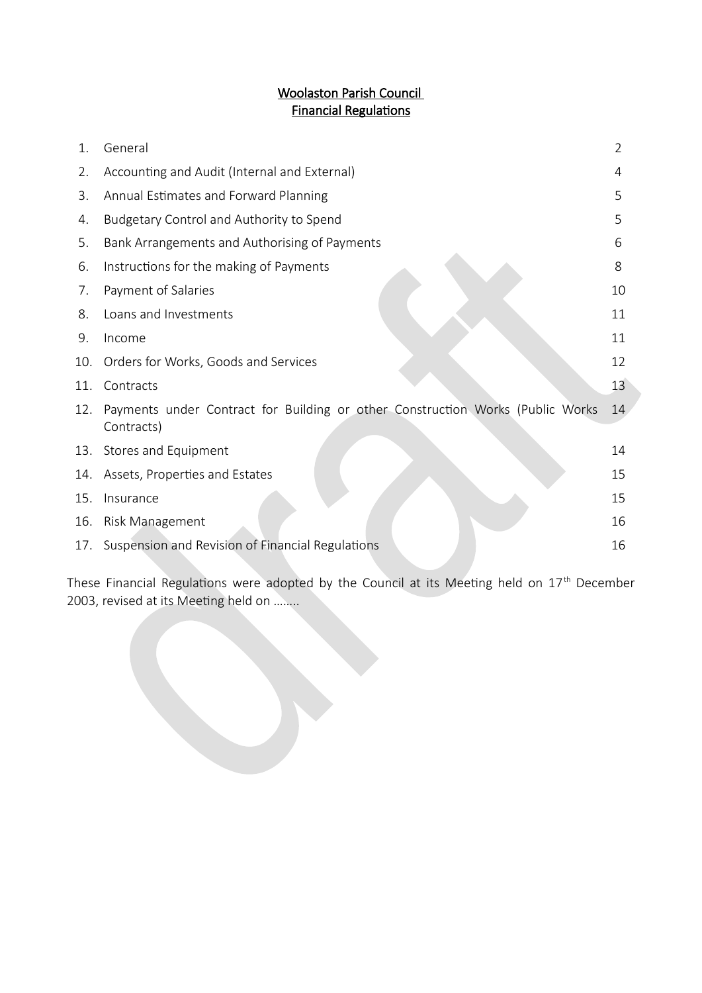# Woolaston Parish Council **Financial Regulations**

| 1.  | General                                                                                      | $\overline{2}$ |
|-----|----------------------------------------------------------------------------------------------|----------------|
| 2.  | Accounting and Audit (Internal and External)                                                 | 4              |
| 3.  | Annual Estimates and Forward Planning                                                        | 5              |
| 4.  | Budgetary Control and Authority to Spend                                                     | 5              |
| 5.  | Bank Arrangements and Authorising of Payments                                                | 6              |
| 6.  | Instructions for the making of Payments                                                      | 8              |
| 7.  | Payment of Salaries                                                                          | 10             |
| 8.  | Loans and Investments                                                                        | 11             |
| 9.  | Income                                                                                       | 11             |
| 10. | Orders for Works, Goods and Services                                                         | 12             |
| 11. | Contracts                                                                                    | 13             |
| 12. | Payments under Contract for Building or other Construction Works (Public Works<br>Contracts) | 14             |
| 13. | Stores and Equipment                                                                         | 14             |
| 14. | Assets, Properties and Estates                                                               | 15             |
| 15. | Insurance                                                                                    | 15             |
| 16. | Risk Management                                                                              | 16             |
| 17. | Suspension and Revision of Financial Regulations                                             | 16             |

These Financial Regulations were adopted by the Council at its Meeting held on  $17<sup>th</sup>$  December 2003, revised at its Meetng held on ……..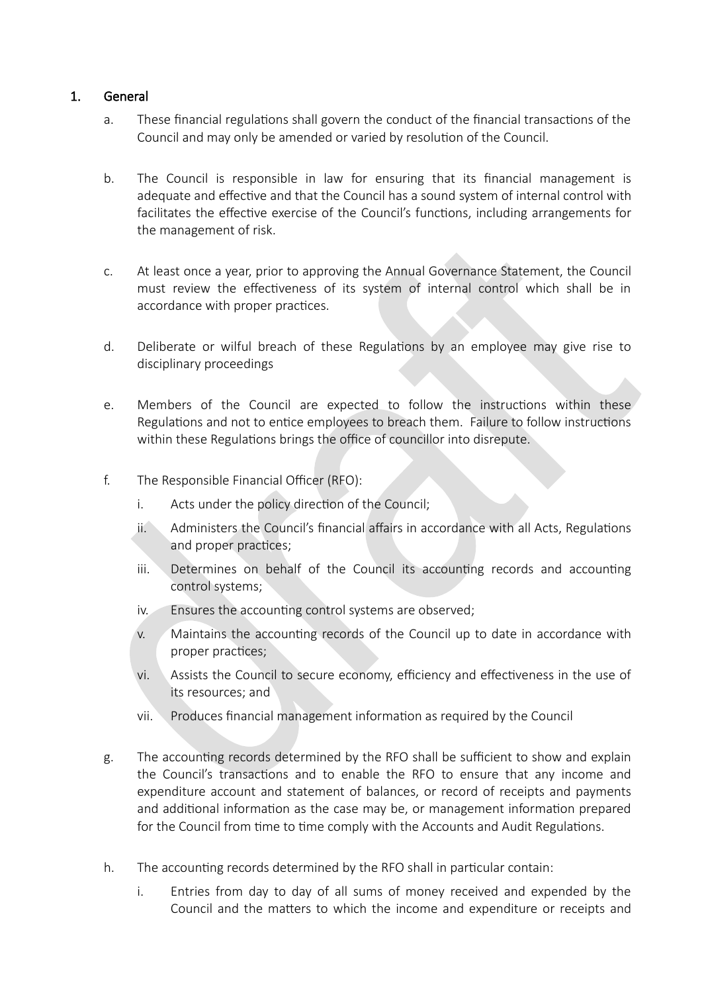# 1. General

- a. These financial regulations shall govern the conduct of the financial transactions of the Council and may only be amended or varied by resolution of the Council.
- b. The Council is responsible in law for ensuring that its financial management is adequate and effective and that the Council has a sound system of internal control with facilitates the effective exercise of the Council's functions, including arrangements for the management of risk.
- c. At least once a year, prior to approving the Annual Governance Statement, the Council must review the effectiveness of its system of internal control which shall be in accordance with proper practices.
- d. Deliberate or wilful breach of these Regulations by an employee may give rise to disciplinary proceedings
- e. Members of the Council are expected to follow the instructions within these Regulations and not to entice employees to breach them. Failure to follow instructions within these Regulations brings the office of councillor into disrepute.
- f. The Responsible Financial Officer (RFO):
	- i. Acts under the policy direction of the Council;
	- $ii.$  Administers the Council's financial affairs in accordance with all Acts, Regulations and proper practices;
	- iii. Determines on behalf of the Council its accounting records and accounting control systems;
	- iv. Ensures the accounting control systems are observed;
	- v. Maintains the accounting records of the Council up to date in accordance with proper practices;
	- vi. Assists the Council to secure economy, efficiency and effectiveness in the use of its resources; and
	- $vi.$  Produces financial management information as required by the Council
- g. The accounting records determined by the RFO shall be sufficient to show and explain the Council's transactions and to enable the RFO to ensure that any income and expenditure account and statement of balances, or record of receipts and payments and additional information as the case may be, or management information prepared for the Council from time to time comply with the Accounts and Audit Regulations.
- h. The accounting records determined by the RFO shall in particular contain:
	- i. Entries from day to day of all sums of money received and expended by the Council and the matters to which the income and expenditure or receipts and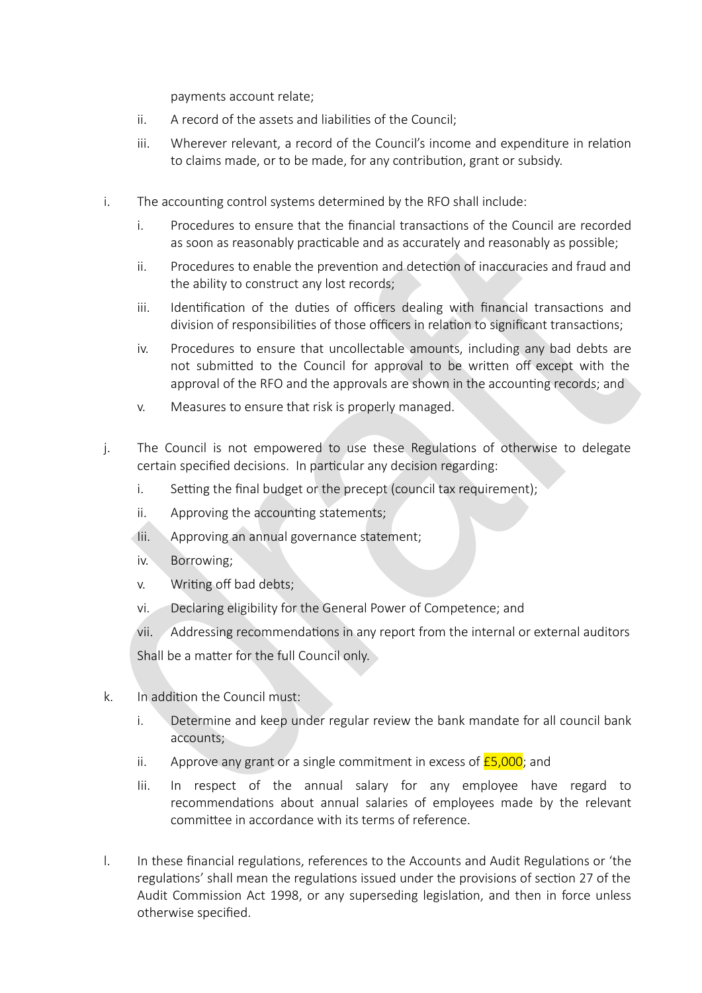payments account relate;

- ii. A record of the assets and liabilities of the Council;
- iii. Wherever relevant, a record of the Council's income and expenditure in relation to claims made, or to be made, for any contribution, grant or subsidy.
- i. The accounting control systems determined by the RFO shall include:
	- i. Procedures to ensure that the fnancial transactons of the Council are recorded as soon as reasonably practicable and as accurately and reasonably as possible;
	- ii. Procedures to enable the prevention and detection of inaccuracies and fraud and the ability to construct any lost records;
	- iii. Identification of the duties of officers dealing with financial transactions and division of responsibilities of those officers in relation to significant transactions;
	- iv. Procedures to ensure that uncollectable amounts, including any bad debts are not submitted to the Council for approval to be written off except with the approval of the RFO and the approvals are shown in the accountng records; and
	- v. Measures to ensure that risk is properly managed.
- j. The Council is not empowered to use these Regulations of otherwise to delegate certain specified decisions. In particular any decision regarding:
	- i. Setting the final budget or the precept (council tax requirement);
	- ii. Approving the accounting statements;
	- Iii. Approving an annual governance statement;
	- iv. Borrowing;
	- v. Writing off bad debts;
	- vi. Declaring eligibility for the General Power of Competence; and
	- vii. Addressing recommendations in any report from the internal or external auditors

Shall be a matter for the full Council only.

- $k.$  In addition the Council must:
	- $i.$  Determine and keep under regular review the bank mandate for all council bank accounts;
	- ii. Approve any grant or a single commitment in excess of  $E$ 5,000; and
	- lii. In respect of the annual salary for any employee have regard to recommendations about annual salaries of employees made by the relevant committee in accordance with its terms of reference.
- l. In these fnancial regulatons, references to the Accounts and Audit Regulatons or 'the regulations' shall mean the regulations issued under the provisions of section 27 of the Audit Commission Act 1998, or any superseding legislation, and then in force unless otherwise specifed.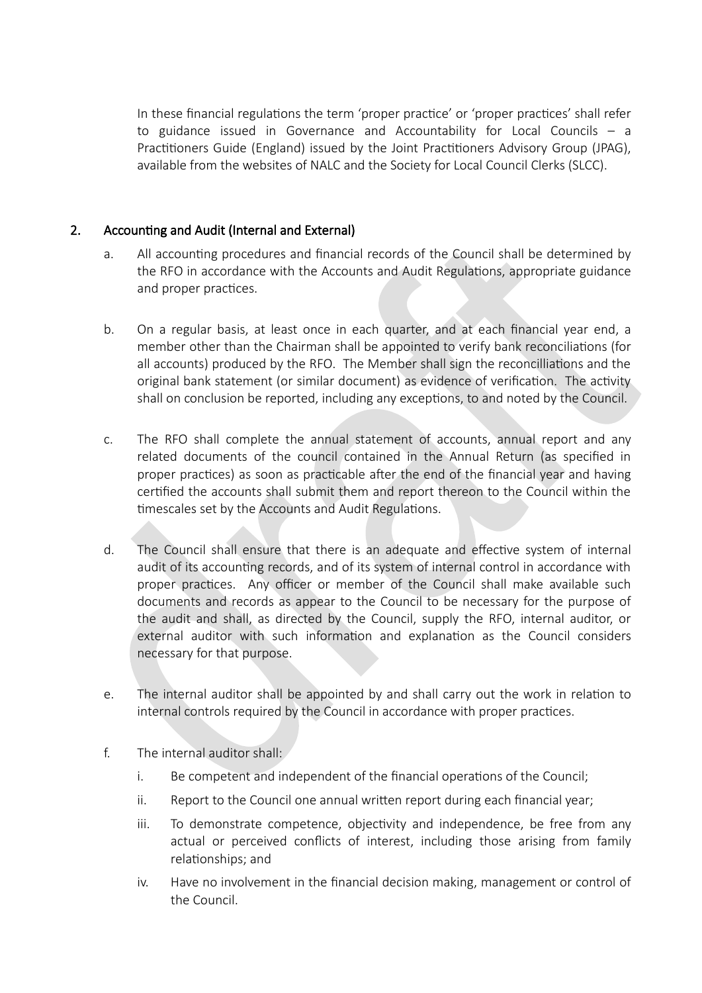In these financial regulations the term 'proper practice' or 'proper practices' shall refer to guidance issued in Governance and Accountability for Local Councils – a Practitioners Guide (England) issued by the Joint Practitioners Advisory Group (JPAG), available from the websites of NALC and the Society for Local Council Clerks (SLCC).

## 2. Accounting and Audit (Internal and External)

- a. All accounting procedures and financial records of the Council shall be determined by the RFO in accordance with the Accounts and Audit Regulatons, appropriate guidance and proper practices.
- b. On a regular basis, at least once in each quarter, and at each fnancial year end, a member other than the Chairman shall be appointed to verify bank reconciliations (for all accounts) produced by the RFO. The Member shall sign the reconcilliations and the original bank statement (or similar document) as evidence of verification. The activity shall on conclusion be reported, including any exceptons, to and noted by the Council.
- c. The RFO shall complete the annual statement of accounts, annual report and any related documents of the council contained in the Annual Return (as specified in proper practices) as soon as practicable after the end of the financial year and having certified the accounts shall submit them and report thereon to the Council within the timescales set by the Accounts and Audit Regulations.
- d. The Council shall ensure that there is an adequate and effective system of internal audit of its accounting records, and of its system of internal control in accordance with proper practices. Any officer or member of the Council shall make available such documents and records as appear to the Council to be necessary for the purpose of the audit and shall, as directed by the Council, supply the RFO, internal auditor, or external auditor with such information and explanation as the Council considers necessary for that purpose.
- e. The internal auditor shall be appointed by and shall carry out the work in relaton to internal controls required by the Council in accordance with proper practices.
- f. The internal auditor shall:
	- i. Be competent and independent of the financial operations of the Council;
	- ii. Report to the Council one annual writen report during each fnancial year;
	- iii. To demonstrate competence, objectivity and independence, be free from any actual or perceived conflicts of interest, including those arising from family relationships; and
	- iv. Have no involvement in the financial decision making, management or control of the Council.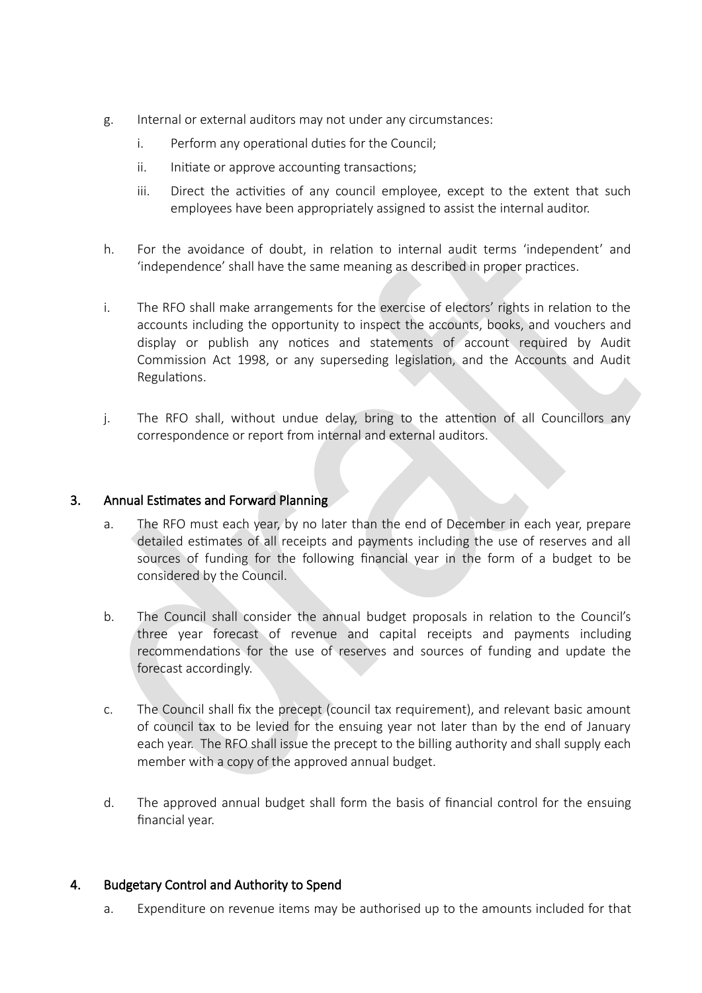- g. Internal or external auditors may not under any circumstances:
	- i. Perform any operational duties for the Council;
	- ii. Initiate or approve accounting transactions;
	- iii. Direct the activities of any council employee, except to the extent that such employees have been appropriately assigned to assist the internal auditor.
- h. For the avoidance of doubt, in relation to internal audit terms 'independent' and 'independence' shall have the same meaning as described in proper practices.
- i. The RFO shall make arrangements for the exercise of electors' rights in relation to the accounts including the opportunity to inspect the accounts, books, and vouchers and display or publish any notices and statements of account required by Audit Commission Act 1998, or any superseding legislation, and the Accounts and Audit Regulations.
- j. The RFO shall, without undue delay, bring to the attention of all Councillors any correspondence or report from internal and external auditors.

## 3. Annual Estimates and Forward Planning

- a. The RFO must each year, by no later than the end of December in each year, prepare detailed estimates of all receipts and payments including the use of reserves and all sources of funding for the following financial year in the form of a budget to be considered by the Council.
- b. The Council shall consider the annual budget proposals in relation to the Council's three year forecast of revenue and capital receipts and payments including recommendations for the use of reserves and sources of funding and update the forecast accordingly.
- c. The Council shall fix the precept (council tax requirement), and relevant basic amount of council tax to be levied for the ensuing year not later than by the end of January each year. The RFO shall issue the precept to the billing authority and shall supply each member with a copy of the approved annual budget.
- d. The approved annual budget shall form the basis of financial control for the ensuing financial year.

# 4. Budgetary Control and Authority to Spend

a. Expenditure on revenue items may be authorised up to the amounts included for that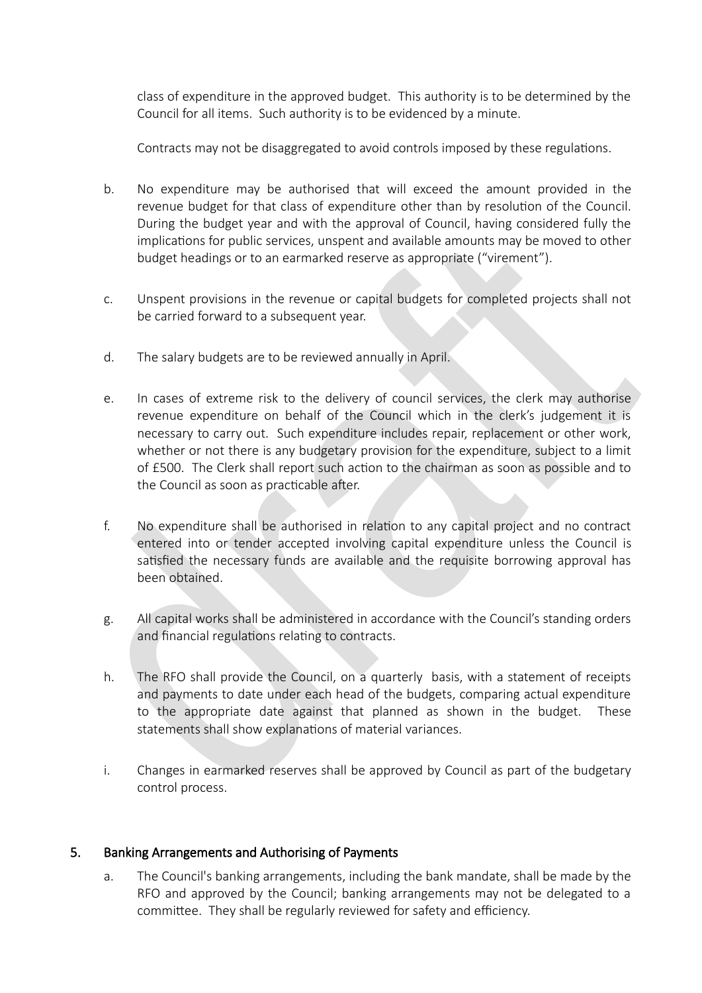class of expenditure in the approved budget. This authority is to be determined by the Council for all items. Such authority is to be evidenced by a minute.

Contracts may not be disaggregated to avoid controls imposed by these regulations.

- b. No expenditure may be authorised that will exceed the amount provided in the revenue budget for that class of expenditure other than by resolution of the Council. During the budget year and with the approval of Council, having considered fully the implications for public services, unspent and available amounts may be moved to other budget headings or to an earmarked reserve as appropriate ("virement").
- c. Unspent provisions in the revenue or capital budgets for completed projects shall not be carried forward to a subsequent year.
- d. The salary budgets are to be reviewed annually in April.
- e. In cases of extreme risk to the delivery of council services, the clerk may authorise revenue expenditure on behalf of the Council which in the clerk's judgement it is necessary to carry out. Such expenditure includes repair, replacement or other work, whether or not there is any budgetary provision for the expenditure, subject to a limit of £500. The Clerk shall report such acton to the chairian as soon as possible and to the Council as soon as practicable after.
- f. No expenditure shall be authorised in relaton to any capital project and no contract entered into or tender accepted involving capital expenditure unless the Council is satisfied the necessary funds are available and the requisite borrowing approval has been obtained.
- g. All capital works shall be adiinistered in accordance with the Council's standing orders and financial regulations relating to contracts.
- h. The RFO shall provide the Council, on a quarterly basis, with a statement of receipts and payments to date under each head of the budgets, comparing actual expenditure to the appropriate date against that planned as shown in the budget. These statements shall show explanations of material variances.
- i. Changes in earmarked reserves shall be approved by Council as part of the budgetary control process.

# 5. Banking Arrangements and Authorising of Payments

a. The Council's banking arrangements, including the bank mandate, shall be made by the RFO and approved by the Council; banking arrangements may not be delegated to a committee. They shall be regularly reviewed for safety and efficiency.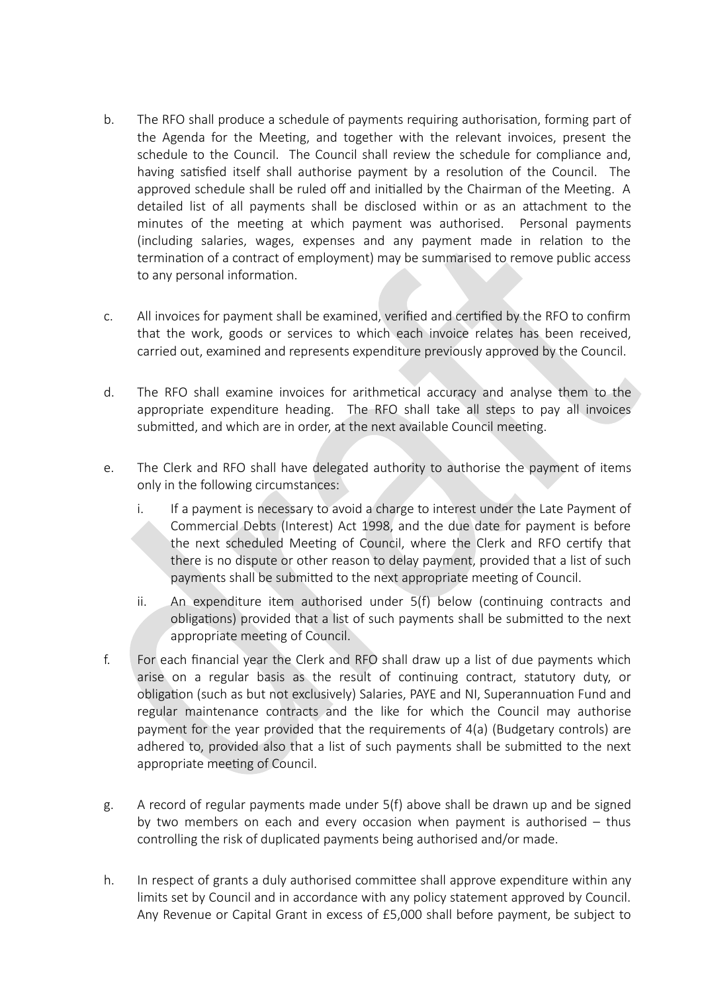- b. The RFO shall produce a schedule of payments requiring authorisation, forming part of the Agenda for the Meetng, and together with the relevant invoices, present the schedule to the Council. The Council shall review the schedule for compliance and, having satisfied itself shall authorise payment by a resolution of the Council. The approved schedule shall be ruled off and initialled by the Chairman of the Meeting. A detailed list of all payments shall be disclosed within or as an attachment to the minutes of the meeting at which payment was authorised. Personal payments (including salaries, wages, expenses and any payment made in relation to the termination of a contract of employment) may be summarised to remove public access to any personal information.
- c. All invoices for payment shall be examined, verified and certified by the RFO to confirm that the work, goods or services to which each invoice relates has been received, carried out, examined and represents expenditure previously approved by the Council.
- d. The RFO shall examine invoices for arithmetical accuracy and analyse them to the appropriate expenditure heading. The RFO shall take all steps to pay all invoices submitted, and which are in order, at the next available Council meeting.
- e. The Clerk and RFO shall have delegated authority to authorise the payment of items only in the following circumstances:
	- i. If a payment is necessary to avoid a charge to interest under the Late Payment of Commercial Debts (Interest) Act 1998, and the due date for payment is before the next scheduled Meetng of Council, where the Clerk and RFO certfy that there is no dispute or other reason to delay payment, provided that a list of such payments shall be submitted to the next appropriate meeting of Council.
	- ii. An expenditure item authorised under  $5(f)$  below (continuing contracts and obligations) provided that a list of such payments shall be submitted to the next appropriate meeting of Council.
- f. For each financial year the Clerk and RFO shall draw up a list of due payments which arise on a regular basis as the result of contnuing contract, statutory duty, or obligation (such as but not exclusively) Salaries, PAYE and NI, Superannuation Fund and regular maintenance contracts and the like for which the Council may authorise payment for the year provided that the requirements of  $4(a)$  (Budgetary controls) are adhered to, provided also that a list of such payments shall be submitted to the next appropriate meeting of Council.
- g. A record of regular payments made under  $5(f)$  above shall be drawn up and be signed by two members on each and every occasion when payment is authorised  $-$  thus controlling the risk of duplicated payments being authorised and/or made.
- h. In respect of grants a duly authorised committee shall approve expenditure within any limits set by Council and in accordance with any policy statement approved by Council. Any Revenue or Capital Grant in excess of £5,000 shall before payment, be subject to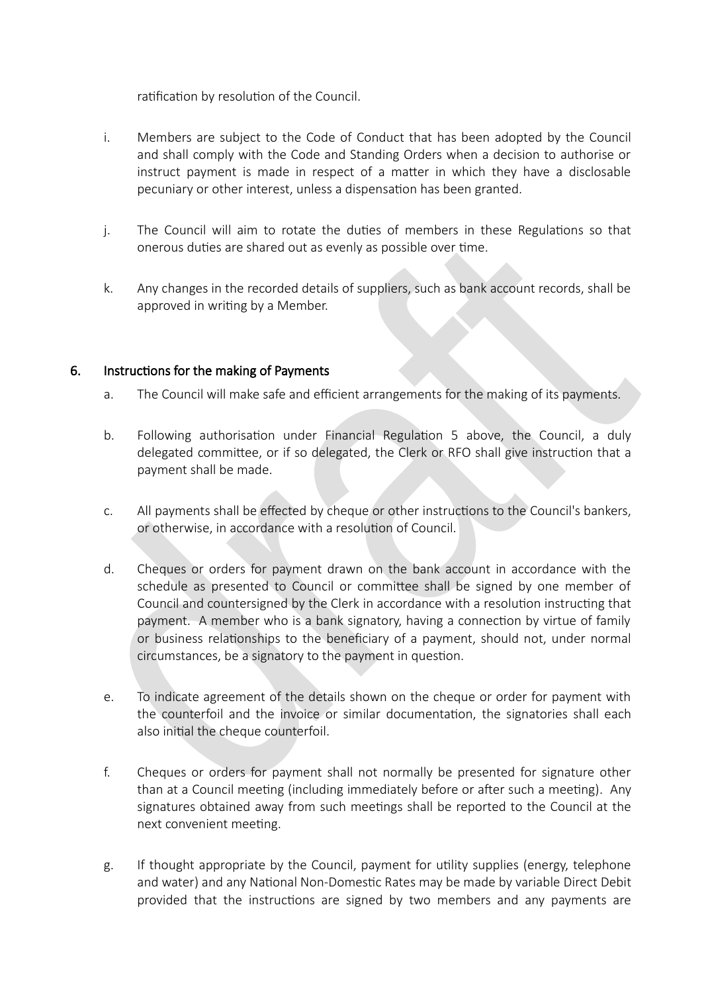ratification by resolution of the Council.

- i. Members are subject to the Code of Conduct that has been adopted by the Council and shall comply with the Code and Standing Orders when a decision to authorise or instruct payment is made in respect of a matter in which they have a disclosable pecuniary or other interest, unless a dispensaton has been granted.
- j. The Council will aim to rotate the duties of members in these Regulations so that onerous duties are shared out as evenly as possible over time.
- k. Any changes in the recorded details of suppliers, such as bank account records, shall be approved in writing by a Member.

# 6. Instructions for the making of Payments

- a. The Council will make safe and efficient arrangements for the making of its payments.
- b. Following authorisation under Financial Regulation 5 above, the Council, a duly delegated committee, or if so delegated, the Clerk or RFO shall give instruction that a payment shall be made.
- c. All payments shall be effected by cheque or other instructions to the Council's bankers, or otherwise, in accordance with a resolution of Council.
- d. Cheques or orders for payment drawn on the bank account in accordance with the schedule as presented to Council or committee shall be signed by one member of Council and countersigned by the Clerk in accordance with a resolution instructing that payment. A member who is a bank signatory, having a connection by virtue of family or business relationships to the beneficiary of a payment, should not, under normal circumstances, be a signatory to the payment in question.
- e. To indicate agreement of the details shown on the cheque or order for payment with the counterfoil and the invoice or similar documentation, the signatories shall each also inital the cheque counterfoil.
- f. Cheques or orders for payment shall not normally be presented for signature other than at a Council meeting (including immediately before or after such a meeting). Any signatures obtained away from such meetings shall be reported to the Council at the next convenient meeting.
- g. If thought appropriate by the Council, payment for utility supplies (energy, telephone and water) and any National Non-Domestic Rates may be made by variable Direct Debit provided that the instructions are signed by two members and any payments are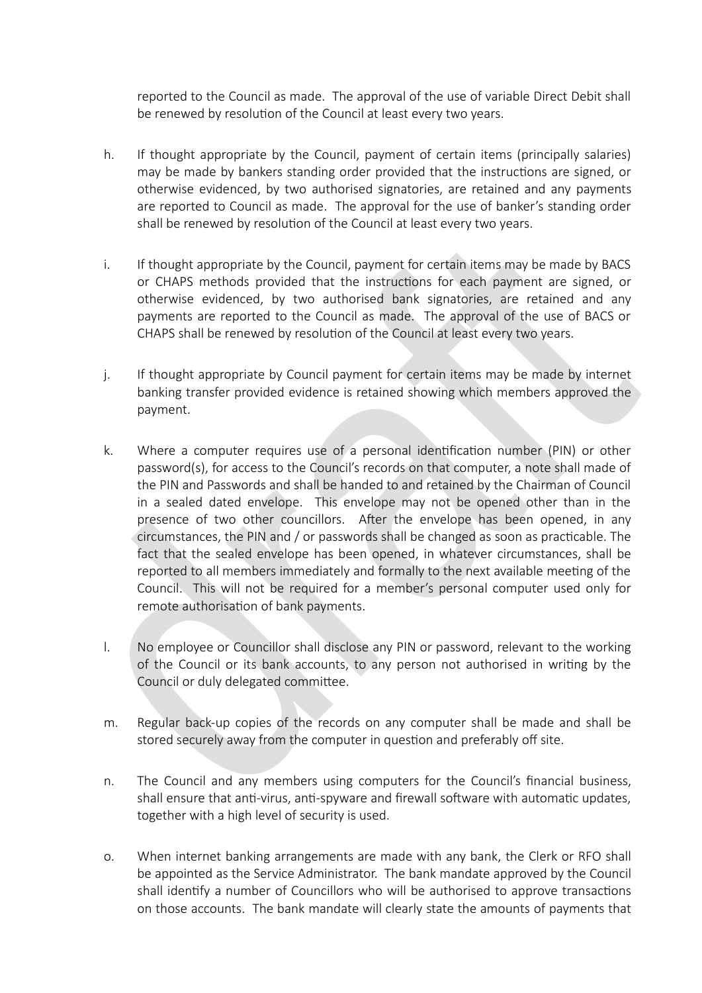reported to the Council as made. The approval of the use of variable Direct Debit shall be renewed by resolution of the Council at least every two years.

- h. If thought appropriate by the Council, payment of certain items (principally salaries) may be made by bankers standing order provided that the instructions are signed, or otherwise evidenced, by two authorised signatories, are retained and any payments are reported to Council as made. The approval for the use of banker's standing order shall be renewed by resolution of the Council at least every two years.
- i. If thought appropriate by the Council, payment for certain items may be made by BACS or CHAPS methods provided that the instructions for each payment are signed, or otherwise evidenced, by two authorised bank signatories, are retained and any payments are reported to the Council as made. The approval of the use of BACS or CHAPS shall be renewed by resolution of the Council at least every two years.
- j. If thought appropriate by Council payment for certain items may be made by internet banking transfer provided evidence is retained showing which members approved the payment.
- k. Where a computer requires use of a personal identification number (PIN) or other password(s), for access to the Council's records on that computer, a note shall made of the PIN and Passwords and shall be handed to and retained by the Chairman of Council in a sealed dated envelope. This envelope may not be opened other than in the presence of two other councillors. Afer the envelope has been opened, in any circumstances, the PIN and / or passwords shall be changed as soon as practicable. The fact that the sealed envelope has been opened, in whatever circumstances, shall be reported to all members immediately and formally to the next available meeting of the Council. This will not be required for a member's personal computer used only for remote authorisation of bank payments.
- l. No employee or Councillor shall disclose any PIN or password, relevant to the working of the Council or its bank accounts, to any person not authorised in writng by the Council or duly delegated committee.
- m. Regular back-up copies of the records on any computer shall be made and shall be stored securely away from the computer in question and preferably off site.
- n. The Council and any members using computers for the Council's financial business, shall ensure that anti-virus, anti-spyware and firewall software with automatic updates, together with a high level of security is used.
- o. When internet banking arrangements are made with any bank, the Clerk or RFO shall be appointed as the Service Administrator. The bank mandate approved by the Council shall identify a number of Councillors who will be authorised to approve transactions on those accounts. The bank mandate will clearly state the amounts of payments that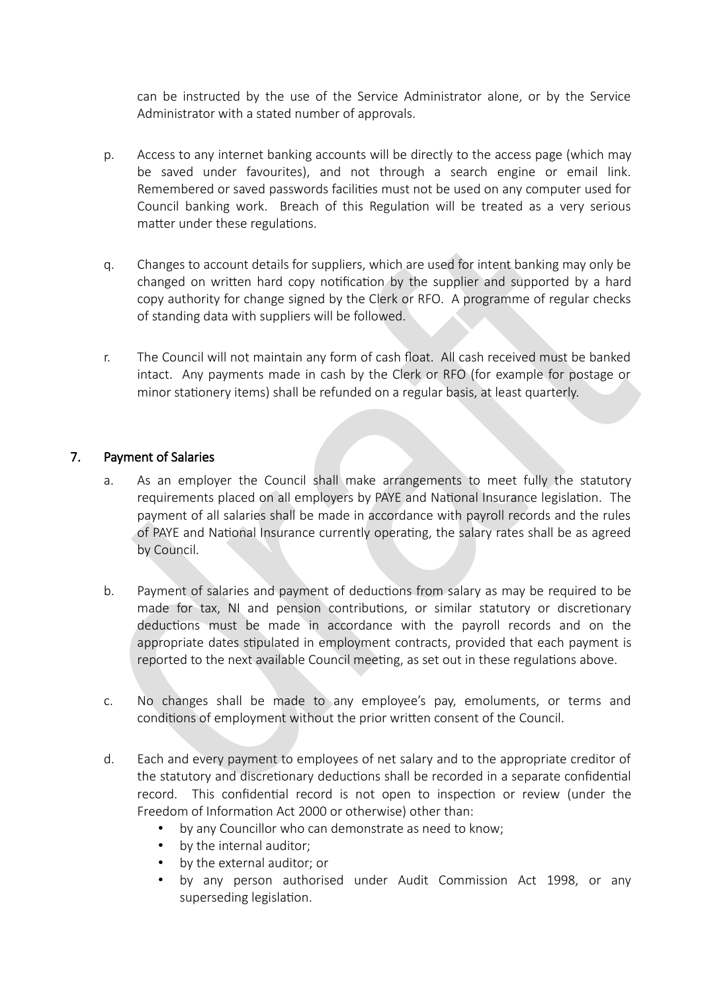can be instructed by the use of the Service Administrator alone, or by the Service Administrator with a stated number of approvals.

- p. Access to any internet banking accounts will be directly to the access page (which may be saved under favourites), and not through a search engine or email link. Remembered or saved passwords facilities must not be used on any computer used for Council banking work. Breach of this Regulation will be treated as a very serious matter under these regulations.
- q. Changes to account details for suppliers, which are used for intent banking iay only be changed on written hard copy notification by the supplier and supported by a hard copy authority for change signed by the Clerk or RFO. A programme of regular checks of standing data with suppliers will be followed.
- r. The Council will not maintain any form of cash float. All cash received must be banked intact. Any payments made in cash by the Clerk or RFO (for example for postage or minor stationery items) shall be refunded on a regular basis, at least quarterly.

#### 7. Payment of Salaries

- a. As an employer the Council shall make arrangements to meet fully the statutory requirements placed on all employers by PAYE and National Insurance legislation. The payment of all salaries shall be made in accordance with payroll records and the rules of PAYE and National Insurance currently operating, the salary rates shall be as agreed by Council.
- b. Payment of salaries and payment of deductions from salary as may be required to be made for tax, NI and pension contributions, or similar statutory or discretionary deductions must be made in accordance with the payroll records and on the appropriate dates stipulated in employment contracts, provided that each payment is reported to the next available Council meeting, as set out in these regulations above.
- c. No changes shall be made to any employee's pay, emoluments, or terms and conditions of employment without the prior written consent of the Council.
- d. Each and every payment to employees of net salary and to the appropriate creditor of the statutory and discretionary deductions shall be recorded in a separate confidential record. This confdental record is not open to inspecton or review (under the Freedom of Information Act 2000 or otherwise) other than:
	- by any Councillor who can demonstrate as need to know;
	- by the internal auditor;
	- by the external auditor; or
	- by any person authorised under Audit Commission Act 1998, or any superseding legislation.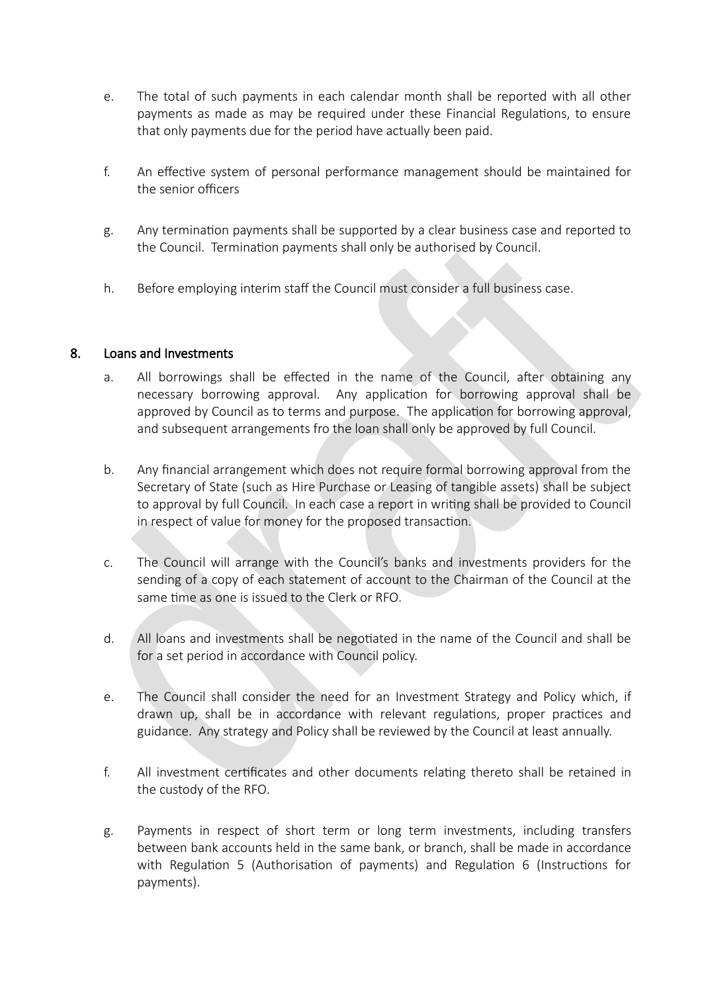- e. The total of such payments in each calendar month shall be reported with all other payments as made as may be required under these Financial Regulations, to ensure that only payments due for the period have actually been paid.
- f. An effective system of personal performance management should be maintained for the senior officers
- g. Any termination payments shall be supported by a clear business case and reported to the Council. Termination payments shall only be authorised by Council.
- h. Before employing interim staff the Council must consider a full business case.

# 8. Loans and Investments

- a. All borrowings shall be effected in the name of the Council, after obtaining any necessary borrowing approval. Any application for borrowing approval shall be approved by Council as to terms and purpose. The application for borrowing approval, and subsequent arrangements fro the loan shall only be approved by full Council.
- b. Any financial arrangement which does not require formal borrowing approval from the Secretary of State (such as Hire Purchase or Leasing of tangible assets) shall be subject to approval by full Council. In each case a report in writng shall be provided to Council in respect of value for money for the proposed transaction.
- c. The Council will arrange with the Council's banks and investments providers for the sending of a copy of each statement of account to the Chairman of the Council at the same time as one is issued to the Clerk or RFO.
- d. All loans and investments shall be negotiated in the name of the Council and shall be for a set period in accordance with Council policy.
- e. The Council shall consider the need for an Investment Strategy and Policy which, if drawn up, shall be in accordance with relevant regulations, proper practices and guidance. Any strategy and Policy shall be reviewed by the Council at least annually.
- f. All investment certificates and other documents relating thereto shall be retained in the custody of the RFO.
- g. Payments in respect of short term or long term investments, including transfers between bank accounts held in the same bank, or branch, shall be made in accordance with Regulation 5 (Authorisation of payments) and Regulation 6 (Instructions for payments).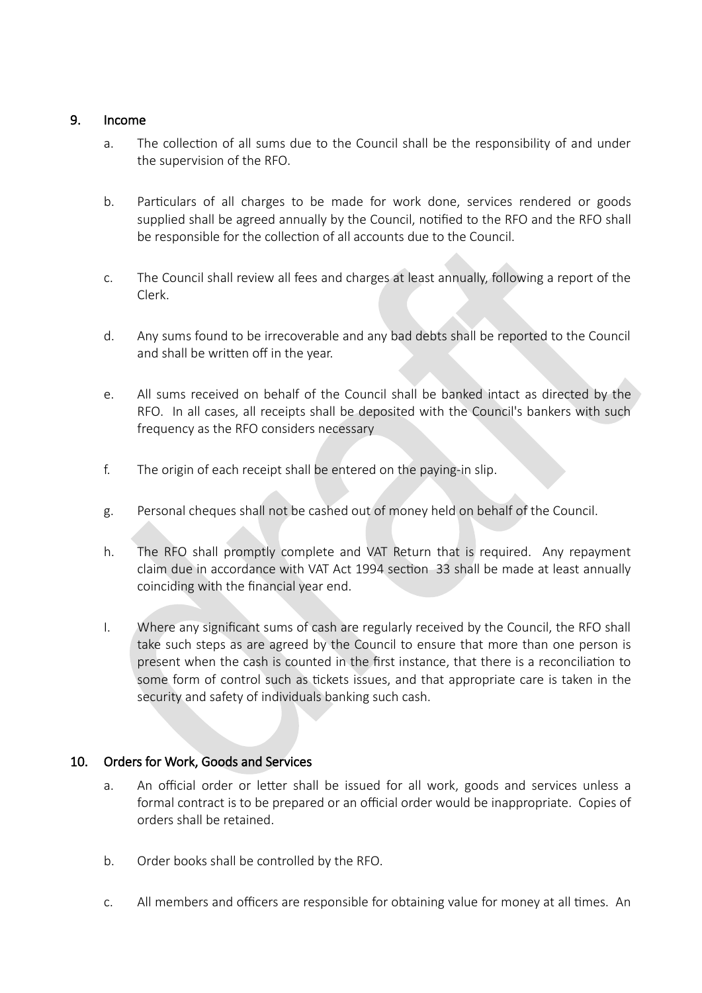## 9. Income

- a. The collection of all sums due to the Council shall be the responsibility of and under the supervision of the RFO.
- b. Particulars of all charges to be made for work done, services rendered or goods supplied shall be agreed annually by the Council, notified to the RFO and the RFO shall be responsible for the collection of all accounts due to the Council.
- c. The Council shall review all fees and charges at least annually, following a report of the Clerk.
- d. Any sums found to be irrecoverable and any bad debts shall be reported to the Council and shall be written off in the year.
- e. All sums received on behalf of the Council shall be banked intact as directed by the RFO. In all cases, all receipts shall be deposited with the Council's bankers with such frequency as the RFO considers necessary
- f. The origin of each receipt shall be entered on the paying-in slip.
- g. Personal cheques shall not be cashed out of money held on behalf of the Council.
- h. The RFO shall promptly complete and VAT Return that is required. Any repayment claim due in accordance with VAT Act 1994 section 33 shall be made at least annually coinciding with the fnancial year end.
- I. Where any significant sums of cash are regularly received by the Council, the RFO shall take such steps as are agreed by the Council to ensure that more than one person is present when the cash is counted in the frst instance, that there is a reconciliaton to some form of control such as tickets issues, and that appropriate care is taken in the security and safety of individuals banking such cash.

# 10. Orders for Work, Goods and Services

- a. An official order or letter shall be issued for all work, goods and services unless a formal contract is to be prepared or an official order would be inappropriate. Copies of orders shall be retained.
- b. Order books shall be controlled by the RFO.
- c. All members and officers are responsible for obtaining value for money at all times. An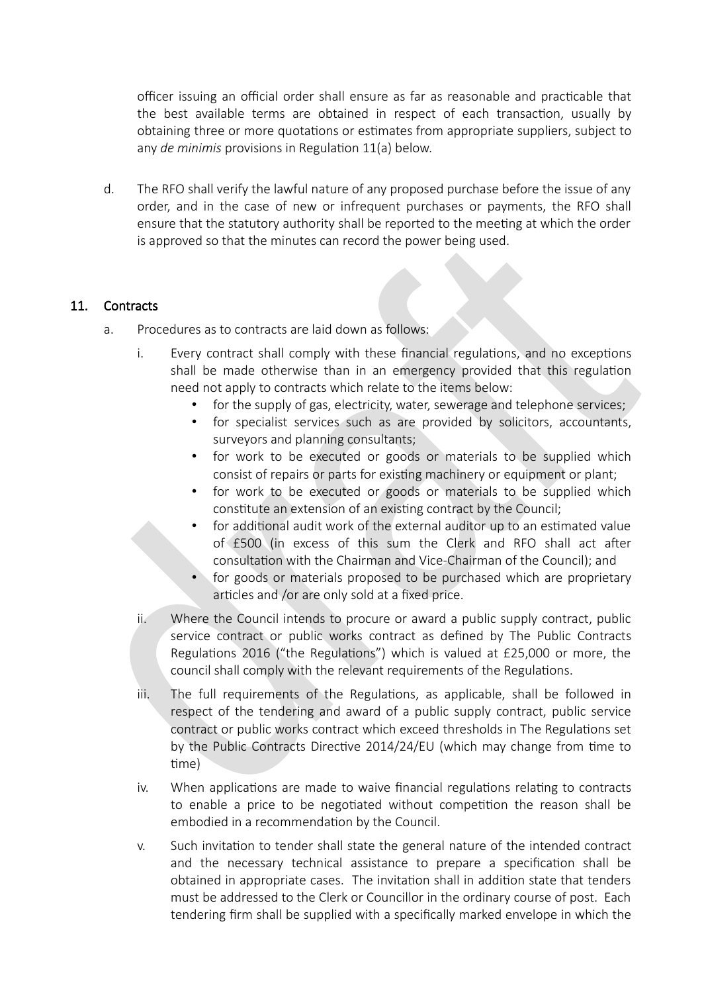officer issuing an official order shall ensure as far as reasonable and practicable that the best available terms are obtained in respect of each transaction, usually by obtaining three or more quotations or estimates from appropriate suppliers, subject to any *de minimis* provisions in Regulation 11(a) below.

d. The RFO shall verify the lawful nature of any proposed purchase before the issue of any order, and in the case of new or infrequent purchases or payments, the RFO shall ensure that the statutory authority shall be reported to the meeting at which the order is approved so that the minutes can record the power being used.

# 11. Contracts

- a. Procedures as to contracts are laid down as follows:
	- i. Every contract shall comply with these financial regulations, and no exceptions shall be made otherwise than in an emergency provided that this regulation need not apply to contracts which relate to the items below:
		- for the supply of gas, electricity, water, sewerage and telephone services;
		- for specialist services such as are provided by solicitors, accountants, surveyors and planning consultants;
		- for work to be executed or goods or materials to be supplied which consist of repairs or parts for existing machinery or equipment or plant;
		- for work to be executed or goods or materials to be supplied which constitute an extension of an existing contract by the Council;
		- for additional audit work of the external auditor up to an estimated value of £500 (in excess of this sum the Clerk and RFO shall act after consultation with the Chairman and Vice-Chairman of the Council); and
		- for goods or materials proposed to be purchased which are proprietary articles and /or are only sold at a fixed price.
	- ii. Where the Council intends to procure or award a public supply contract, public service contract or public works contract as defned by The Public Contracts Regulations 2016 ("the Regulations") which is valued at  $£25,000$  or more, the council shall comply with the relevant requirements of the Regulations.
	- iii. The full requirements of the Regulations, as applicable, shall be followed in respect of the tendering and award of a public supply contract, public service contract or public works contract which exceed thresholds in The Regulatons set by the Public Contracts Directive 2014/24/EU (which may change from time to time)
	- iv. When applications are made to waive financial regulations relating to contracts to enable a price to be negotiated without competition the reason shall be embodied in a recommendation by the Council.
	- v. Such invitaton to tender shall state the general nature of the intended contract and the necessary technical assistance to prepare a specification shall be obtained in appropriate cases. The invitation shall in addition state that tenders must be addressed to the Clerk or Councillor in the ordinary course of post. Each tendering firm shall be supplied with a specifically marked envelope in which the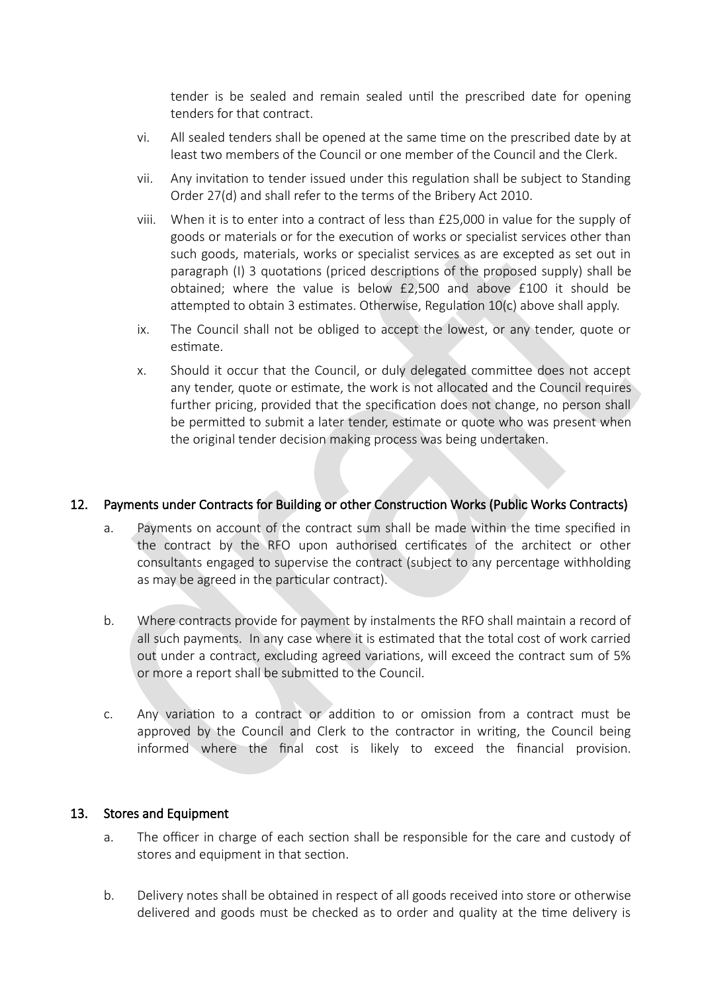tender is be sealed and remain sealed until the prescribed date for opening tenders for that contract.

- vi. All sealed tenders shall be opened at the same time on the prescribed date by at least two members of the Council or one member of the Council and the Clerk.
- vii. Any invitation to tender issued under this regulation shall be subject to Standing Order 27(d) and shall refer to the terms of the Bribery Act 2010.
- viii. When it is to enter into a contract of less than £25,000 in value for the supply of goods or materials or for the execution of works or specialist services other than such goods, materials, works or specialist services as are excepted as set out in paragraph (I) 3 quotations (priced descriptions of the proposed supply) shall be obtained; where the value is below £2,500 and above £100 it should be attempted to obtain 3 estimates. Otherwise, Regulation  $10(c)$  above shall apply.
- ix. The Council shall not be obliged to accept the lowest, or any tender, quote or estimate.
- x. Should it occur that the Council, or duly delegated committee does not accept any tender, quote or estimate, the work is not allocated and the Council requires further pricing, provided that the specification does not change, no person shall be permitted to submit a later tender, estimate or quote who was present when the original tender decision making process was being undertaken.

## 12. Payments under Contracts for Building or other Construction Works (Public Works Contracts)

- a. Payments on account of the contract sum shall be made within the time specified in the contract by the RFO upon authorised certificates of the architect or other consultants engaged to supervise the contract (subject to any percentage withholding as may be agreed in the particular contract).
- b. Where contracts provide for payment by instalments the RFO shall maintain a record of all such payments. In any case where it is estimated that the total cost of work carried out under a contract, excluding agreed variations, will exceed the contract sum of 5% or more a report shall be submitted to the Council.
- c. Any variation to a contract or addition to or omission from a contract must be approved by the Council and Clerk to the contractor in writng, the Council being informed where the final cost is likely to exceed the financial provision.

#### 13. Stores and Equipment

- a. The officer in charge of each section shall be responsible for the care and custody of stores and equipment in that section.
- b. Delivery notes shall be obtained in respect of all goods received into store or otherwise delivered and goods must be checked as to order and quality at the time delivery is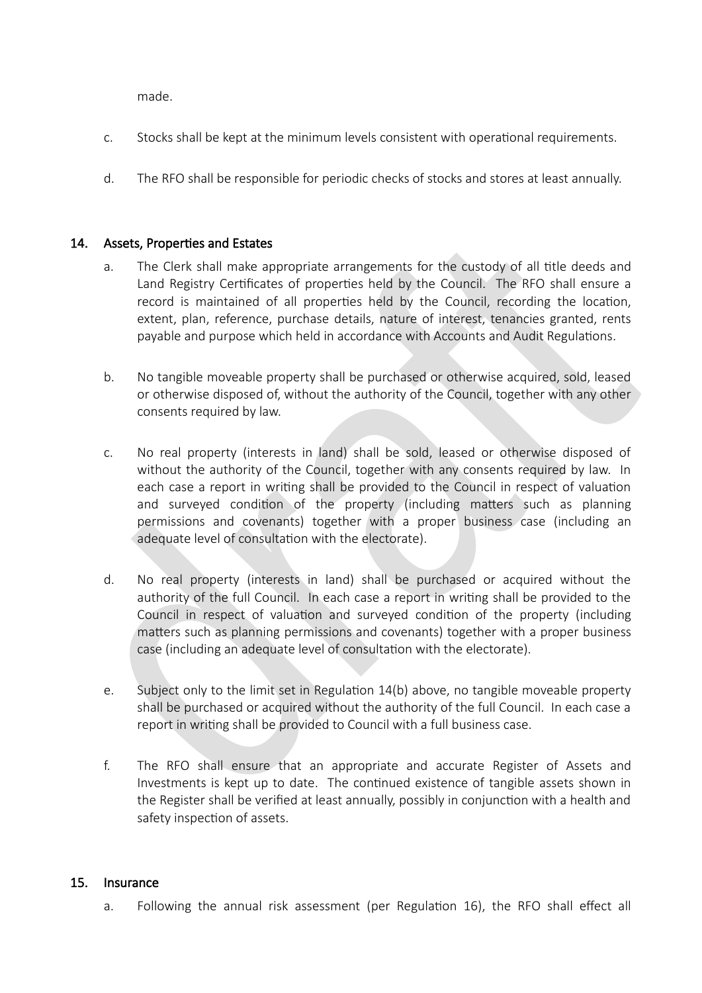made.

- c. Stocks shall be kept at the minimum levels consistent with operational requirements.
- d. The RFO shall be responsible for periodic checks of stocks and stores at least annually.

#### 14. Assets, Properties and Estates

- a. The Clerk shall make appropriate arrangements for the custody of all title deeds and Land Registry Certificates of properties held by the Council. The RFO shall ensure a record is maintained of all properties held by the Council, recording the location, extent, plan, reference, purchase details, nature of interest, tenancies granted, rents payable and purpose which held in accordance with Accounts and Audit Regulatons.
- b. No tangible moveable property shall be purchased or otherwise acquired, sold, leased or otherwise disposed of, without the authority of the Council, together with any other consents required by law.
- c. No real property (interests in land) shall be sold, leased or otherwise disposed of without the authority of the Council, together with any consents required by law. In each case a report in writing shall be provided to the Council in respect of valuation and surveyed condition of the property (including matters such as planning permissions and covenants) together with a proper business case (including an adequate level of consultation with the electorate).
- d. No real property (interests in land) shall be purchased or acquired without the authority of the full Council. In each case a report in writng shall be provided to the Council in respect of valuaton and surveyed conditon of the property (including matters such as planning permissions and covenants) together with a proper business case (including an adequate level of consultation with the electorate).
- e. Subject only to the limit set in Regulation  $14(b)$  above, no tangible moveable property shall be purchased or acquired without the authority of the full Council. In each case a report in writing shall be provided to Council with a full business case.
- f. The RFO shall ensure that an appropriate and accurate Register of Assets and Investments is kept up to date. The continued existence of tangible assets shown in the Register shall be verified at least annually, possibly in conjunction with a health and safety inspection of assets.

# 15. Insurance

a. Following the annual risk assessment (per Regulation 16), the RFO shall effect all